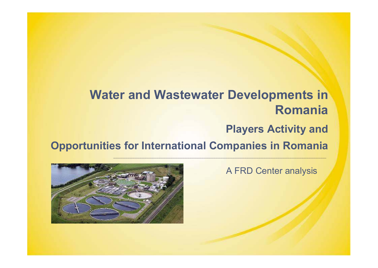## **Water and Wastewater Developments in Romania**

### **Players Activity and**

**Opportunities for International Companies in Romania**



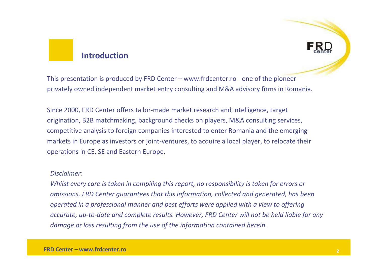#### **Introduction**

This presentation is produced by FRD Center – www.frdcenter.ro - one of the pioneer privately owned independent market entry consulting and M&A advisory firms in Romania.

Since 2000, FRD Center offers tailor-made market research and intelligence, target origination, B2B matchmaking, background checks on players, M&A consulting services, competitive analysis to foreign companies interested to enter Romania and the emerging markets in Europe as investors or joint-ventures, to acquire a local player, to relocate their operations in CE, SE and Eastern Europe.

#### *Disclaimer:*

*Whilst every care is taken in compiling this report, no responsibility is taken for errors or omissions. FRD Center guarantees that this information, collected and generated, has been operated in a professional manner and best efforts were applied with a view to offering accurate, up-to-date and complete results. However, FRD Center will not be held liable for any damage or loss resulting from the use of the information contained herein.*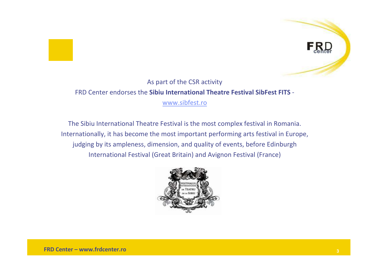

#### As part of the CSR activityFRD Center endorses the **Sibiu International Theatre Festival SibFest FITS** www.sibfest.ro

The Sibiu International Theatre Festival is the most complex festival in Romania. Internationally, it has become the most important performing arts festival in Europe, judging by its ampleness, dimension, and quality of events, before Edinburgh International Festival (Great Britain) and Avignon Festival (France)

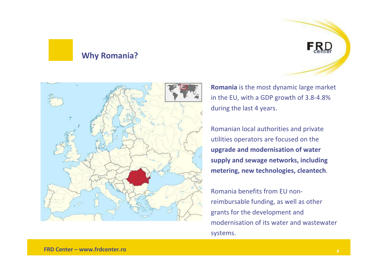#### **Why Romania?**



**Romania** is the most dynamic large market in the EU, with a GDP growth of 3.8-4.8% during the last 4 years.

 $F_{\text{ehe}}$ 

Romanian local authorities and private utilities operators are focused on the **upgrade and modernisation of water supply and sewage networks, including metering, new technologies, cleantech**.

Romania benefits from EU nonreimbursable funding, as well as other grants for the development and modernisation of its water and wastewater systems.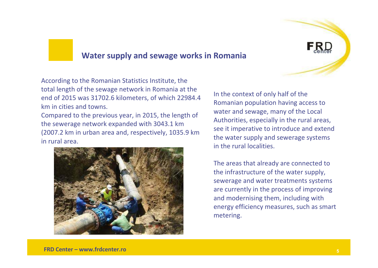

#### **Water supply and sewage works in Romania**

According to the Romanian Statistics Institute, the total length of the sewage network in Romania at the end of 2015 was 31702.6 kilometers, of which 22984.4 km in cities and towns.

Compared to the previous year, in 2015, the length of the sewerage network expanded with 3043.1 km (2007.2 km in urban area and, respectively, 1035.9 km in rural area.



In the context of only half of the Romanian population having access to water and sewage, many of the Local Authorities, especially in the rural areas, see it imperative to introduce and extend the water supply and sewerage systems in the rural localities.

The areas that already are connected to the infrastructure of the water supply, sewerage and water treatments systems are currently in the process of improving and modernising them, including with energy efficiency measures, such as smart metering.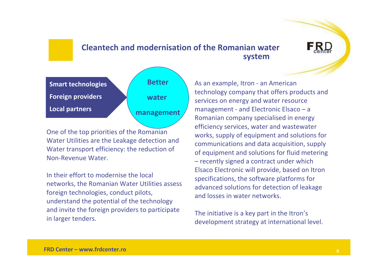#### **Cleantech and modernisation of the Romanian water system**



One of the top priorities of the Romanian Water Utilities are the Leakage detection and Water transport efficiency: the reduction of Non-Revenue Water.

In their effort to modernise the local networks, the Romanian Water Utilities assess foreign technologies, conduct pilots, understand the potential of the technology and invite the foreign providers to participate in larger tenders.

As an example, Itron - an American technology company that offers products and services on energy and water resource management - and Electronic Elsaco – <sup>a</sup> Romanian company specialised in energy efficiency services, water and wastewater works, supply of equipment and solutions for communications and data acquisition, supply of equipment and solutions for fluid metering – recently signed a contract under which Elsaco Electronic will provide, based on Itronspecifications, the software platforms for advanced solutions for detection of leakage and losses in water networks.

The initiative is a key part in the Itron'sdevelopment strategy at international level.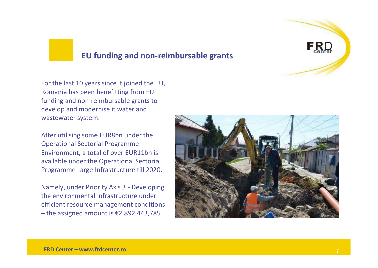

#### **EU funding and non-reimbursable grants**

For the last 10 years since it joined the EU, Romania has been benefitting from EU funding and non-reimbursable grants to develop and modernise it water and wastewater system.

After utilising some EUR8bn under the Operational Sectorial Programme Environment, a total of over EUR11bn is available under the Operational Sectorial Programme Large Infrastructure till 2020.

Namely, under Priority Axis 3 - Developing the environmental infrastructure under efficient resource management conditions – the assigned amount is €2,892,443,785

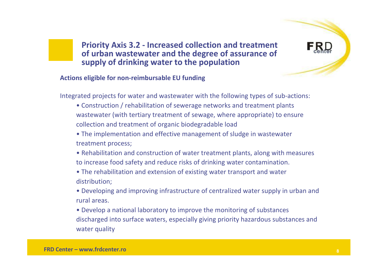

**Priority Axis 3.2 - Increased collection and treatment of urban wastewater and the degree of assurance of supply of drinking water to the population**

#### **Actions eligible for non-reimbursable EU funding**

Integrated projects for water and wastewater with the following types of sub-actions:

- Construction / rehabilitation of sewerage networks and treatment plants wastewater (with tertiary treatment of sewage, where appropriate) to ensure collection and treatment of organic biodegradable load
- The implementation and effective management of sludge in wastewater treatment process;
- Rehabilitation and construction of water treatment plants, along with measures to increase food safety and reduce risks of drinking water contamination.
- The rehabilitation and extension of existing water transport and water distribution;
- Developing and improving infrastructure of centralized water supply in urban and rural areas.
- Develop a national laboratory to improve the monitoring of substances discharged into surface waters, especially giving priority hazardous substances and water quality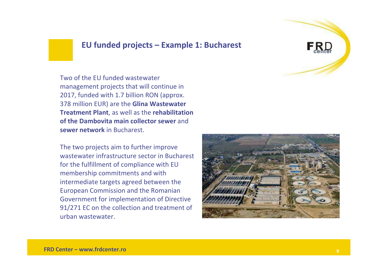#### **EU funded projects – Example 1: Bucharest**

Two of the EU funded wastewater management projects that will continue in 2017, funded with 1.7 billion RON (approx. 378 million EUR) are the **Glina Wastewater Treatment Plant**, as well as the **rehabilitation of the Dambovita main collector sewer** and **sewer network** in Bucharest.

The two projects aim to further improve wastewater infrastructure sector in Bucharest for the fulfillment of compliance with EU membership commitments and with intermediate targets agreed between the European Commission and the Romanian Government for implementation of Directive 91/271 EC on the collection and treatment of urban wastewater.



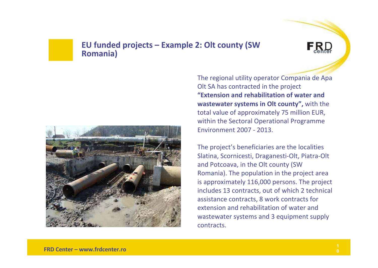#### **EU funded projects – Example 2: Olt county (SW Romania)**





The regional utility operator Compania de Apa Olt SA has contracted in the project **"Extension and rehabilitation of water and wastewater systems in Olt county",** with the total value of approximately 75 million EUR, within the Sectoral Operational Programme Environment 2007 - 2013.

The project's beneficiaries are the localities Slatina, Scornicesti, Draganesti-Olt, Piatra-Oltand Potcoava, in the Olt county (SW Romania). The population in the project area is approximately 116,000 persons. The project includes 13 contracts, out of which 2 technical assistance contracts, 8 work contracts for extension and rehabilitation of water and wastewater systems and 3 equipment supply contracts.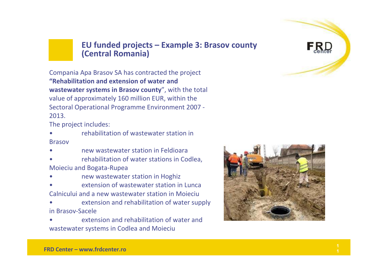

#### **EU funded projects – Example 3: Brasov county (Central Romania)**

Compania Apa Brasov SA has contracted the project **"Rehabilitation and extension of water and wastewater systems in Brasov county**", with the total value of approximately 160 million EUR, within the Sectoral Operational Programme Environment 2007 - 2013.

The project includes:

• rehabilitation of wastewater station in Brasov

•new wastewater station in Feldioara

• rehabilitation of water stations in Codlea, Moieciu and Bogata-Rupea

- •new wastewater station in Hoghiz
- • extension of wastewater station in Lunca Calnicului and a new wastewater station in Moieciu
- extension and rehabilitation of water supply •in Brasov-Sacele

 extension and rehabilitation of water and •wastewater systems in Codlea and Moieciu



**11**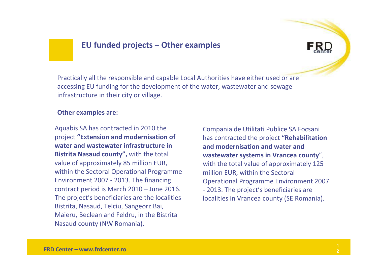#### **EU funded projects – Other examples**

Practically all the responsible and capable Local Authorities have either used or are accessing EU funding for the development of the water, wastewater and sewage infrastructure in their city or village.

#### **Other examples are:**

Aquabis SA has contracted in 2010 the project **"Extension and modernisation of water and wastewater infrastructure in Bistrita Nasaud county",** with the total value of approximately 85 million EUR, within the Sectoral Operational Programme Environment 2007 - 2013. The financing contract period is March 2010 – June 2016. The project's beneficiaries are the localities Bistrita, Nasaud, Telciu, Sangeorz Bai, Maieru, Beclean and Feldru, in the Bistrita Nasaud county (NW Romania).

Compania de Utilitati Publice SA Focsani has contracted the project **"Rehabilitation and modernisation and water and wastewater systems in Vrancea county**", with the total value of approximately 125 million EUR, within the SectoralOperational Programme Environment 2007 - 2013. The project's beneficiaries are localities in Vrancea county (SE Romania).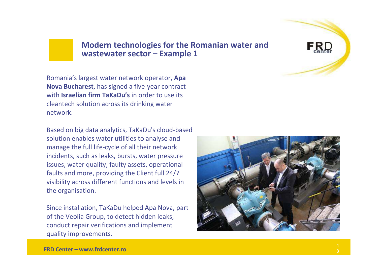#### **Modern technologies for the Romanian water and wastewater sector – Example 1**

Romania's largest water network operator, **Apa Nova Bucharest**, has signed a five-year contract with **Israelian firm TaKaDu's** in order to use its cleantech solution across its drinking water network.

Based on big data analytics, TaKaDu's cloud-based solution enables water utilities to analyse and manage the full life-cycle of all their network incidents, such as leaks, bursts, water pressure issues, water quality, faulty assets, operational faults and more, providing the Client full 24/7 visibility across different functions and levels inthe organisation.

Since installation, TaKaDu helped Apa Nova, part of the Veolia Group, to detect hidden leaks, conduct repair verifications and implement quality improvements.



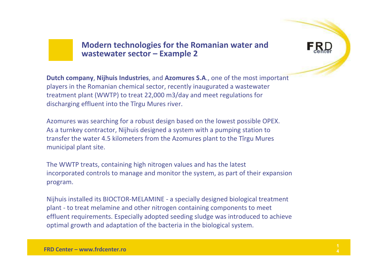#### **Modern technologies for the Romanian water and wastewater sector – Example 2**

**Dutch company**, **Nijhuis Industries**, and **Azomures S.A**., one of the most important players in the Romanian chemical sector, recently inaugurated a wastewater treatment plant (WWTP) to treat 22,000 m3/day and meet regulations for discharging effluent into the Tîrgu Mures river.

Azomures was searching for a robust design based on the lowest possible OPEX. As a turnkey contractor, Nijhuis designed a system with a pumping station to transfer the water 4.5 kilometers from the Azomures plant to the Tîrgu Mures municipal plant site.

The WWTP treats, containing high nitrogen values and has the latest incorporated controls to manage and monitor the system, as part of their expansion program.

Nijhuis installed its BIOCTOR-MELAMINE - a specially designed biological treatment plant - to treat melamine and other nitrogen containing components to meet effluent requirements. Especially adopted seeding sludge was introduced to achieve optimal growth and adaptation of the bacteria in the biological system.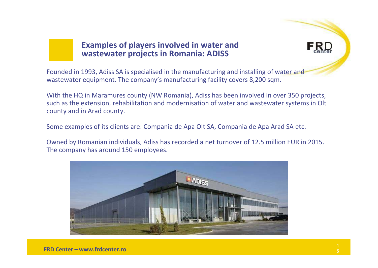#### **Examples of players involved in water and wastewater projects in Romania: ADISS**



Founded in 1993, Adiss SA is specialised in the manufacturing and installing of water and wastewater equipment. The company's manufacturing facility covers 8,200 sqm.

With the HQ in Maramures county (NW Romania), Adiss has been involved in over 350 projects, such as the extension, rehabilitation and modernisation of water and wastewater systems in Olt county and in Arad county.

Some examples of its clients are: Compania de Apa Olt SA, Compania de Apa Arad SA etc.

Owned by Romanian individuals, Adiss has recorded a net turnover of 12.5 million EUR in 2015. The company has around 150 employees.

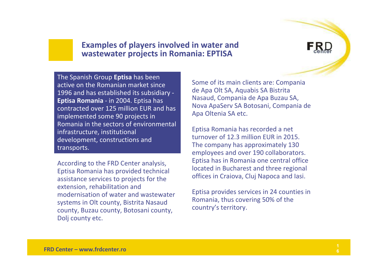#### **Examples of players involved in water and wastewater projects in Romania: EPTISA**

The Spanish Group **Eptisa** has been active on the Romanian market since 1996 and has established its subsidiary -**Eptisa Romania** - in 2004. Eptisa has contracted over 125 million EUR and has implemented some 90 projects in Romania in the sectors of environmental infrastructure, institutional development, constructions and transports.

According to the FRD Center analysis, Eptisa Romania has provided technical assistance services to projects for the extension, rehabilitation and modernisation of water and wastewater systems in Olt county, Bistrita Nasaud county, Buzau county, Botosani county, Dolj county etc.

Some of its main clients are: Companiade Apa Olt SA, Aquabis SA Bistrita Nasaud, Compania de Apa Buzau SA, Nova ApaServ SA Botosani, Compania de Apa Oltenia SA etc.

Eptisa Romania has recorded a net turnover of 12.3 million EUR in 2015. The company has approximately 130 employees and over 190 collaborators. Eptisa has in Romania one central office located in Bucharest and three regional offices in Craiova, Cluj Napoca and Iasi.

Eptisa provides services in 24 counties in Romania, thus covering 50% of the country's territory.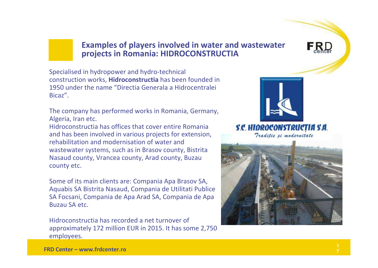#### **Examples of players involved in water and wastewater projects in Romania: HIDROCONSTRUCTIA**

Specialised in hydropower and hydro-technical construction works, **Hidroconstructia** has been founded in 1950 under the name "Directia Generala a Hidrocentralei Bicaz".

The company has performed works in Romania, Germany, Algeria, Iran etc.

 Hidroconstructia has offices that cover entire Romania and has been involved in various projects for extension, rehabilitation and modernisation of water and wastewater systems, such as in Brasov county, BistritaNasaud county, Vrancea county, Arad county, Buzau county etc.

Some of its main clients are: Compania Apa Brasov SA, Aquabis SA Bistrita Nasaud, Compania de Utilitati Publice SA Focsani, Compania de Apa Arad SA, Compania de Apa Buzau SA etc.

Hidroconstructia has recorded a net turnover of approximately 172 million EUR in 2015. It has some 2,750 employees.



S.C. HIDROCONSTRUCTIA S.A. Traditie ei modernitate

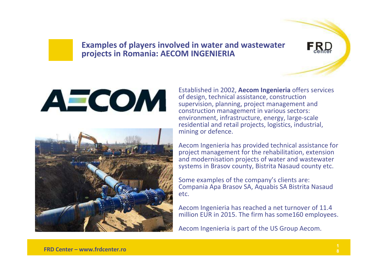#### **Examples of players involved in water and wastewater projects in Romania: AECOM INGENIERIA**

# AECOM



Established in 2002, **Aecom Ingenieria** offers services of design, technical assistance, construction supervision, planning, project management and construction management in various sectors: environment, infrastructure, energy, large-scale residential and retail projects, logistics, industrial, mining or defence.

Aecom Ingenieria has provided technical assistance for project management for the rehabilitation, extension and modernisation projects of water and wastewater systems in Brasov county, Bistrita Nasaud county etc.

Some examples of the company's clients are: Compania Apa Brasov SA, Aquabis SA Bistrita Nasaudetc.

Aecom Ingenieria has reached a net turnover of 11.4 million EUR in 2015. The firm has some160 employees.

Aecom Ingenieria is part of the US Group Aecom.

 $F_{\text{ehe}}$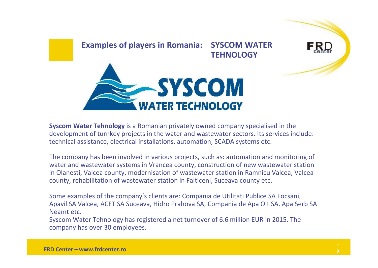

**Syscom Water Tehnology** is a Romanian privately owned company specialised in the development of turnkey projects in the water and wastewater sectors. Its services include: technical assistance, electrical installations, automation, SCADA systems etc.

The company has been involved in various projects, such as: automation and monitoring of water and wastewater systems in Vrancea county, construction of new wastewater station in Olanesti, Valcea county, modernisation of wastewater station in Ramnicu Valcea, Valcea county, rehabilitation of wastewater station in Falticeni, Suceava county etc.

Some examples of the company's clients are: Compania de Utilitati Publice SA Focsani, Apavil SA Valcea, ACET SA Suceava, Hidro Prahova SA, Compania de Apa Olt SA, Apa Serb SA Neamt etc.

Syscom Water Tehnology has registered a net turnover of 6.6 million EUR in 2015. The company has over 30 employees.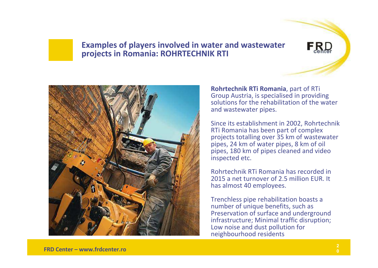#### **Examples of players involved in water and wastewater projects in Romania: ROHRTECHNIK RTI**



**Rohrtechnik RTi Romania**, part of RTi Group Austria, is specialised in providing solutions for the rehabilitation of the water and wastewater pipes.

 $F_{c}R_{c}D$ 

Since its establishment in 2002, RohrtechnikRTi Romania has been part of complex projects totalling over 35 km of wastewater pipes, 24 km of water pipes, 8 km of oil pipes, 180 km of pipes cleaned and video inspected etc.

Rohrtechnik RTi Romania has recorded in 2015 a net turnover of 2.5 million EUR. It has almost 40 employees.

Trenchless pipe rehabilitation boasts a number of unique benefits, such as Preservation of surface and underground infrastructure; Minimal traffic disruption;Low noise and dust pollution for neighbourhood residents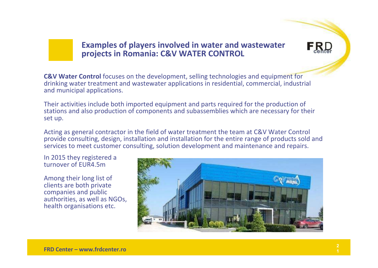#### **Examples of players involved in water and wastewater projects in Romania: C&V WATER CONTROL**

**C&V Water Control** focuses on the development, selling technologies and equipment for drinking water treatment and wastewater applications in residential, commercial, industrial and municipal applications.

Their activities include both imported equipment and parts required for the production of stations and also production of components and subassemblies which are necessary for their set up.

Acting as general contractor in the field of water treatment the team at C&V Water Control provide consulting, design, installation and installation for the entire range of products sold and services to meet customer consulting, solution development and maintenance and repairs.

In 2015 they registered a turnover of EUR4.5m

Among their long list of clients are both private companies and public authorities, as well as NGOs, health organisations etc.



 $F_{coher}$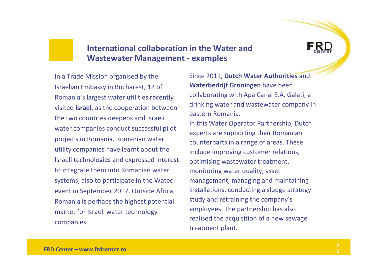#### **International collaboration in the Water and Wastewater Management - examples**

In a Trade Mission organised by the Israelian Embassy in Bucharest, 12 of Romania's largest water utilities recently visited **Israel**, as the cooperation between the two countries deepens and Israeli water companies conduct successful pilot projects in Romania. Romanian water utility companies have learnt about the Israeli technologies and expressed interest to integrate them into Romanian water systems, also to participate in the Watecevent in September 2017. Outside Africa, Romania is perhaps the highest potential market for Israeli water technology companies.

Since 2011, **Dutch Water Authorities** and **Waterbedrijf Groningen** have been collaborating with Apa Canal S.A. Galati, a drinking water and wastewater company in eastern Romania.In this Water Operator Partnership, Dutch experts are supporting their Romanian counterparts in a range of areas. These include improving customer relations, optimising wastewater treatment, monitoring water quality, asset management, managing and maintaining installations, conducting a sludge strategy study and retraining the company's employees. The partnership has also realised the acquisition of a new sewage treatment plant.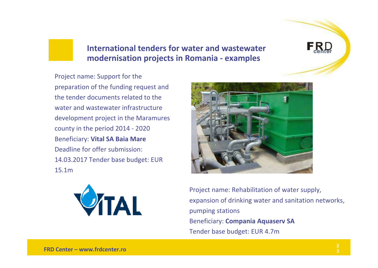

Project name: Support for the preparation of the funding request and the tender documents related to the water and wastewater infrastructure development project in the Maramurescounty in the period 2014 - <sup>2020</sup>Beneficiary: **Vital SA Baia Mare** Deadline for offer submission: 14.03.2017 Tender base budget: EUR 15.1m





Project name: Rehabilitation of water supply, expansion of drinking water and sanitation networks, pumping stationsBeneficiary: **Compania Aquaserv SA**Tender base budget: EUR 4.7m

**FRD**